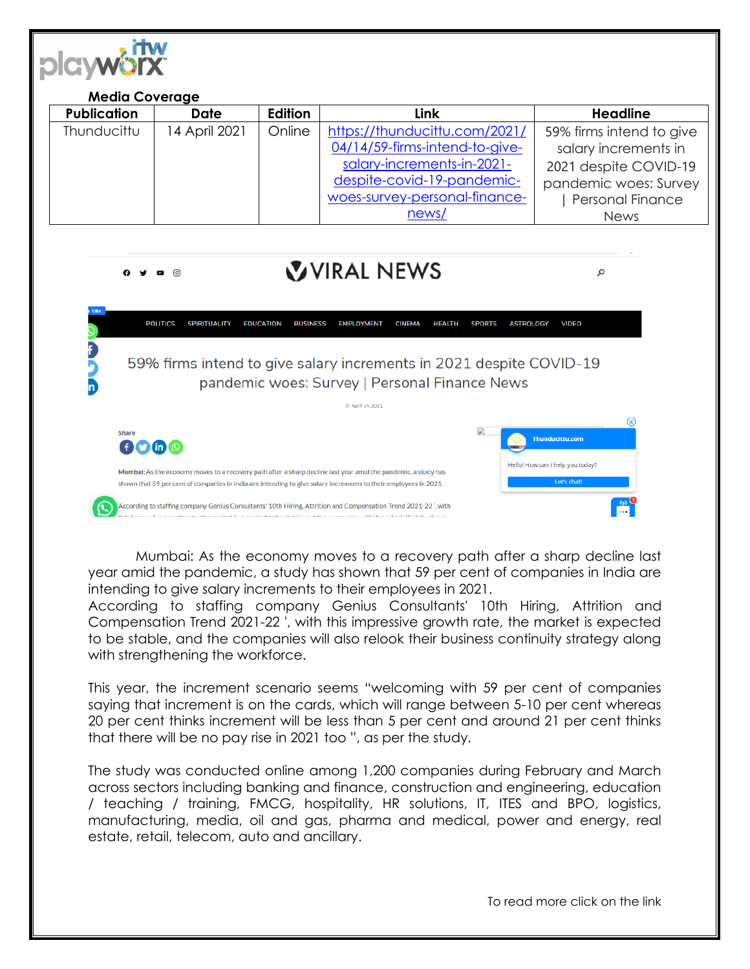

| <b>Media Coverage</b> |               |                |                                |                          |
|-----------------------|---------------|----------------|--------------------------------|--------------------------|
| <b>Publication</b>    | <b>Date</b>   | <b>Edition</b> | Link                           | <b>Headline</b>          |
| Thunducittu           | 14 April 2021 | Online         | https://thunducittu.com/2021/  | 59% firms intend to give |
|                       |               |                | 04/14/59-firms-intend-to-give- | salary increments in     |
|                       |               |                | salary-increments-in-2021-     | 2021 despite COVID-19    |
|                       |               |                | despite-covid-19-pandemic-     | pandemic woes: Survey    |
|                       |               |                | woes-survey-personal-finance-  | <b>Personal Finance</b>  |
|                       |               |                | news/                          | <b>News</b>              |

## VURAL NEWS



Mumbai: As the economy moves to a recovery path after a sharp decline last year amid the pandemic, a study has shown that 59 per cent of companies in India are intending to give salary increments to their employees in 2021.

According to staffing company Genius Consultants' 10th Hiring, Attrition and Compensation Trend 2021-22 ′, with this impressive growth rate, the market is expected to be stable, and the companies will also relook their business continuity strategy along with strengthening the workforce.

This year, the increment scenario seems "welcoming with 59 per cent of companies saying that increment is on the cards, which will range between 5-10 per cent whereas 20 per cent thinks increment will be less than 5 per cent and around 21 per cent thinks that there will be no pay rise in 2021 too ", as per the study.

The study was conducted online among 1,200 companies during February and March across sectors including banking and finance, construction and engineering, education / teaching / training, FMCG, hospitality, HR solutions, IT, ITES and BPO, logistics, manufacturing, media, oil and gas, pharma and medical, power and energy, real estate, retail, telecom, auto and ancillary.

To read more click on the link

Ω